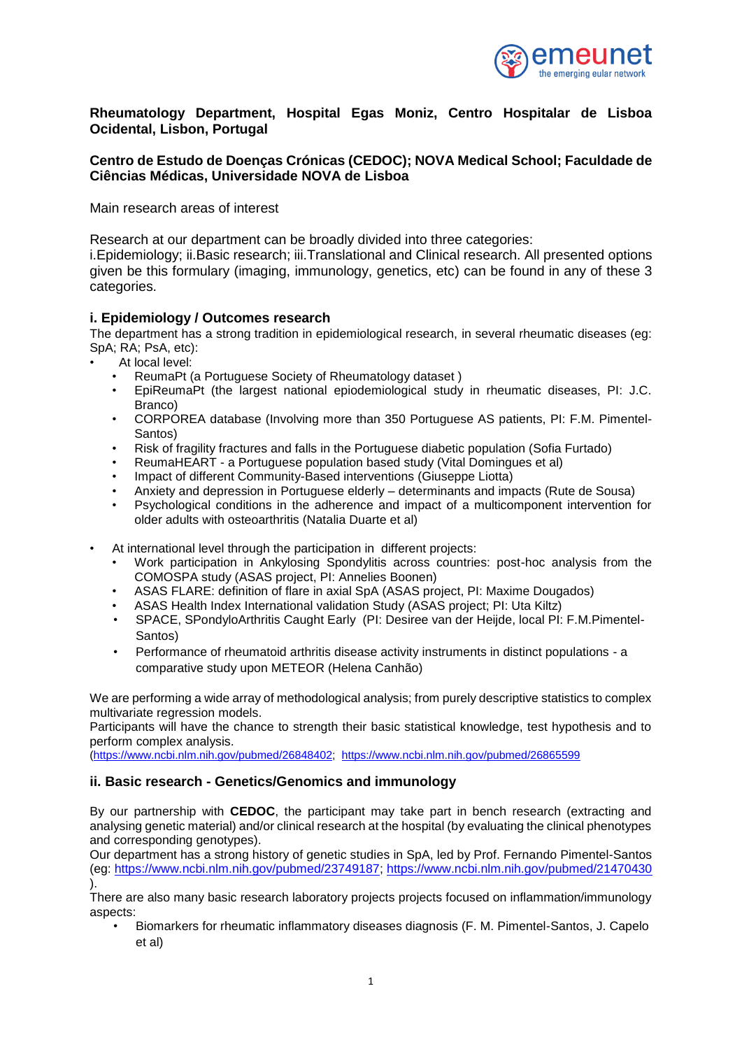

# **Rheumatology Department, Hospital Egas Moniz, Centro Hospitalar de Lisboa Ocidental, Lisbon, Portugal**

# **Centro de Estudo de Doenças Crónicas (CEDOC); NOVA Medical School; Faculdade de Ciências Médicas, Universidade NOVA de Lisboa**

Main research areas of interest

Research at our department can be broadly divided into three categories:

i.Epidemiology; ii.Basic research; iii.Translational and Clinical research. All presented options given be this formulary (imaging, immunology, genetics, etc) can be found in any of these 3 categories.

## **i. Epidemiology / Outcomes research**

The department has a strong tradition in epidemiological research, in several rheumatic diseases (eg: SpA; RA; PsA, etc):

- At local level:
	- ReumaPt (a Portuguese Society of Rheumatology dataset )
	- EpiReumaPt (the largest national epiodemiological study in rheumatic diseases, PI: J.C. Branco)
	- CORPOREA database (Involving more than 350 Portuguese AS patients, PI: F.M. Pimentel-Santos)
	- Risk of fragility fractures and falls in the Portuguese diabetic population (Sofia Furtado)
	- ReumaHEART a Portuguese population based study (Vital Domingues et al)
	- Impact of different Community-Based interventions (Giuseppe Liotta)
	- Anxiety and depression in Portuguese elderly determinants and impacts (Rute de Sousa)
	- Psychological conditions in the adherence and impact of a multicomponent intervention for older adults with osteoarthritis (Natalia Duarte et al)
- At international level through the participation in different projects:
	- Work participation in Ankylosing Spondylitis across countries: post-hoc analysis from the COMOSPA study (ASAS project, PI: Annelies Boonen)
	- ASAS FLARE: definition of flare in axial SpA (ASAS project, PI: Maxime Dougados)
	- ASAS Health Index International validation Study (ASAS project; PI: Uta Kiltz)
	- SPACE, SPondyloArthritis Caught Early (PI: Desiree van der Heijde, local PI: F.M.Pimentel-Santos)
	- Performance of rheumatoid arthritis disease activity instruments in distinct populations a comparative study upon METEOR (Helena Canhão)

We are performing a wide array of methodological analysis; from purely descriptive statistics to complex multivariate regression models.

Participants will have the chance to strength their basic statistical knowledge, test hypothesis and to perform complex analysis.

[\(https://www.ncbi.nlm.nih.gov/pubmed/26848402;](https://www.ncbi.nlm.nih.gov/pubmed/26848402) <https://www.ncbi.nlm.nih.gov/pubmed/26865599>

#### **ii. Basic research - Genetics/Genomics and immunology**

By our partnership with **CEDOC**, the participant may take part in bench research (extracting and analysing genetic material) and/or clinical research at the hospital (by evaluating the clinical phenotypes and corresponding genotypes).

Our department has a strong history of genetic studies in SpA, led by Prof. Fernando Pimentel-Santos (eg: [https://www.ncbi.nlm.nih.gov/pubmed/23749187;](https://www.ncbi.nlm.nih.gov/pubmed/23749187)<https://www.ncbi.nlm.nih.gov/pubmed/21470430> ).

There are also many basic research laboratory projects projects focused on inflammation/immunology aspects:

• Biomarkers for rheumatic inflammatory diseases diagnosis (F. M. Pimentel-Santos, J. Capelo et al)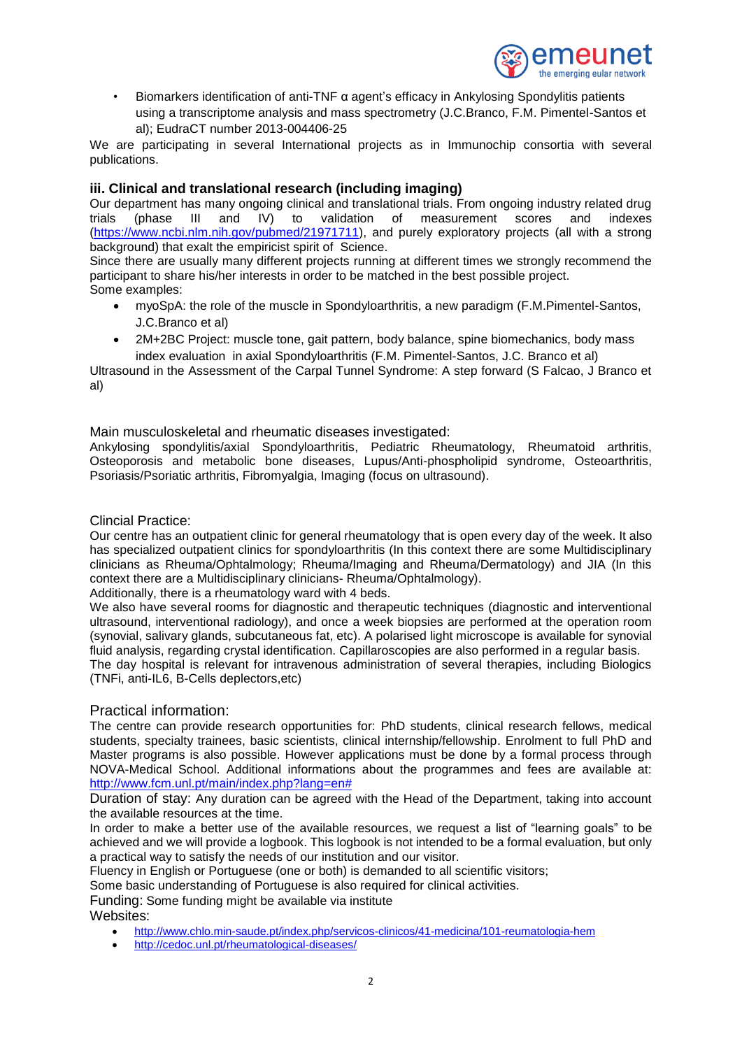

• Biomarkers identification of anti-TNF α agent's efficacy in Ankylosing Spondylitis patients using a transcriptome analysis and mass spectrometry (J.C.Branco, F.M. Pimentel-Santos et al); EudraCT number 2013-004406-25

We are participating in several International projects as in Immunochip consortia with several publications.

## **iii. Clinical and translational research (including imaging)**

Our department has many ongoing clinical and translational trials. From ongoing industry related drug<br>trials (phase III and IV) to validation of measurement scores and indexes trials (phase III and IV) to validation of measurement scores and indexes [\(https://www.ncbi.nlm.nih.gov/pubmed/21971711\)](https://www.ncbi.nlm.nih.gov/pubmed/21971711), and purely exploratory projects (all with a strong background) that exalt the empiricist spirit of Science.

Since there are usually many different projects running at different times we strongly recommend the participant to share his/her interests in order to be matched in the best possible project. Some examples:

- myoSpA: the role of the muscle in Spondyloarthritis, a new paradigm (F.M.Pimentel-Santos, J.C.Branco et al)
- 2M+2BC Project: muscle tone, gait pattern, body balance, spine biomechanics, body mass index evaluation in axial Spondyloarthritis (F.M. Pimentel-Santos, J.C. Branco et al)

Ultrasound in the Assessment of the Carpal Tunnel Syndrome: A step forward (S Falcao, J Branco et al)

Main musculoskeletal and rheumatic diseases investigated:

Ankylosing spondylitis/axial Spondyloarthritis, Pediatric Rheumatology, Rheumatoid arthritis, Osteoporosis and metabolic bone diseases. Lupus/Anti-phospholipid syndrome, Osteoarthritis, Psoriasis/Psoriatic arthritis, Fibromyalgia, Imaging (focus on ultrasound).

Clincial Practice:

Our centre has an outpatient clinic for general rheumatology that is open every day of the week. It also has specialized outpatient clinics for spondyloarthritis (In this context there are some Multidisciplinary clinicians as Rheuma/Ophtalmology; Rheuma/Imaging and Rheuma/Dermatology) and JIA (In this context there are a Multidisciplinary clinicians- Rheuma/Ophtalmology).

Additionally, there is a rheumatology ward with 4 beds.

We also have several rooms for diagnostic and therapeutic techniques (diagnostic and interventional ultrasound, interventional radiology), and once a week biopsies are performed at the operation room (synovial, salivary glands, subcutaneous fat, etc). A polarised light microscope is available for synovial fluid analysis, regarding crystal identification. Capillaroscopies are also performed in a regular basis.

The day hospital is relevant for intravenous administration of several therapies, including Biologics (TNFi, anti-IL6, B-Cells deplectors,etc)

Practical information:

The centre can provide research opportunities for: PhD students, clinical research fellows, medical students, specialty trainees, basic scientists, clinical internship/fellowship. Enrolment to full PhD and Master programs is also possible. However applications must be done by a formal process through NOVA-Medical School. Additional informations about the programmes and fees are available at: [http://www.fcm.unl.pt/main/index.php?lang=en#](http://www.fcm.unl.pt/main/index.php?lang=en)

Duration of stay: Any duration can be agreed with the Head of the Department, taking into account the available resources at the time.

In order to make a better use of the available resources, we request a list of "learning goals" to be achieved and we will provide a logbook. This logbook is not intended to be a formal evaluation, but only a practical way to satisfy the needs of our institution and our visitor.

Fluency in English or Portuguese (one or both) is demanded to all scientific visitors;

Some basic understanding of Portuguese is also required for clinical activities.

Funding: Some funding might be available via institute Websites:

- <http://www.chlo.min-saude.pt/index.php/servicos-clinicos/41-medicina/101-reumatologia-hem>
- <http://cedoc.unl.pt/rheumatological-diseases/>